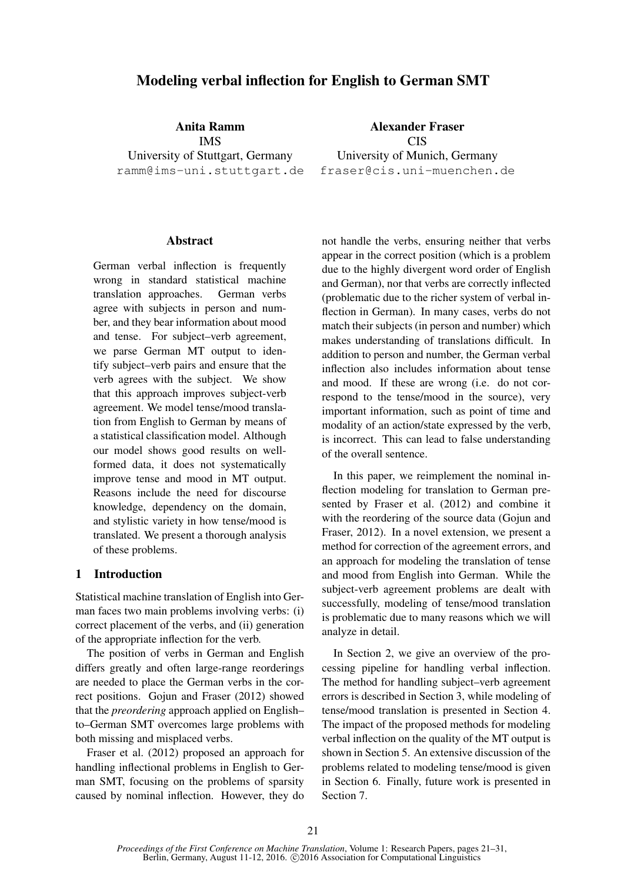# Modeling verbal inflection for English to German SMT

Anita Ramm IMS

University of Stuttgart, Germany ramm@ims-uni.stuttgart.de

# **Abstract**

German verbal inflection is frequently wrong in standard statistical machine translation approaches. German verbs agree with subjects in person and number, and they bear information about mood and tense. For subject–verb agreement, we parse German MT output to identify subject–verb pairs and ensure that the verb agrees with the subject. We show that this approach improves subject-verb agreement. We model tense/mood translation from English to German by means of a statistical classification model. Although our model shows good results on wellformed data, it does not systematically improve tense and mood in MT output. Reasons include the need for discourse knowledge, dependency on the domain, and stylistic variety in how tense/mood is translated. We present a thorough analysis of these problems.

# 1 Introduction

Statistical machine translation of English into German faces two main problems involving verbs: (i) correct placement of the verbs, and (ii) generation of the appropriate inflection for the verb.

The position of verbs in German and English differs greatly and often large-range reorderings are needed to place the German verbs in the correct positions. Gojun and Fraser (2012) showed that the *preordering* approach applied on English– to–German SMT overcomes large problems with both missing and misplaced verbs.

Fraser et al. (2012) proposed an approach for handling inflectional problems in English to German SMT, focusing on the problems of sparsity caused by nominal inflection. However, they do

CIS University of Munich, Germany fraser@cis.uni-muenchen.de

Alexander Fraser

not handle the verbs, ensuring neither that verbs appear in the correct position (which is a problem due to the highly divergent word order of English and German), nor that verbs are correctly inflected (problematic due to the richer system of verbal inflection in German). In many cases, verbs do not match their subjects (in person and number) which makes understanding of translations difficult. In addition to person and number, the German verbal inflection also includes information about tense and mood. If these are wrong (i.e. do not correspond to the tense/mood in the source), very important information, such as point of time and modality of an action/state expressed by the verb, is incorrect. This can lead to false understanding of the overall sentence.

In this paper, we reimplement the nominal inflection modeling for translation to German presented by Fraser et al. (2012) and combine it with the reordering of the source data (Gojun and Fraser, 2012). In a novel extension, we present a method for correction of the agreement errors, and an approach for modeling the translation of tense and mood from English into German. While the subject-verb agreement problems are dealt with successfully, modeling of tense/mood translation is problematic due to many reasons which we will analyze in detail.

In Section 2, we give an overview of the processing pipeline for handling verbal inflection. The method for handling subject–verb agreement errors is described in Section 3, while modeling of tense/mood translation is presented in Section 4. The impact of the proposed methods for modeling verbal inflection on the quality of the MT output is shown in Section 5. An extensive discussion of the problems related to modeling tense/mood is given in Section 6. Finally, future work is presented in Section 7.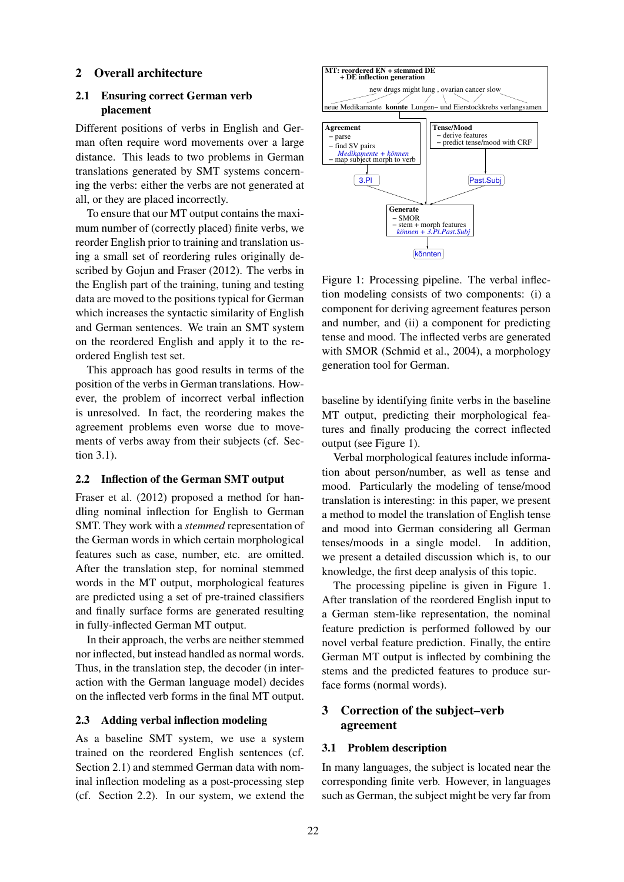# 2 Overall architecture

# 2.1 Ensuring correct German verb placement

Different positions of verbs in English and German often require word movements over a large distance. This leads to two problems in German translations generated by SMT systems concerning the verbs: either the verbs are not generated at all, or they are placed incorrectly.

To ensure that our MT output contains the maximum number of (correctly placed) finite verbs, we reorder English prior to training and translation using a small set of reordering rules originally described by Gojun and Fraser (2012). The verbs in the English part of the training, tuning and testing data are moved to the positions typical for German which increases the syntactic similarity of English and German sentences. We train an SMT system on the reordered English and apply it to the reordered English test set.

This approach has good results in terms of the position of the verbs in German translations. However, the problem of incorrect verbal inflection is unresolved. In fact, the reordering makes the agreement problems even worse due to movements of verbs away from their subjects (cf. Section 3.1).

# 2.2 Inflection of the German SMT output

Fraser et al. (2012) proposed a method for handling nominal inflection for English to German SMT. They work with a *stemmed* representation of the German words in which certain morphological features such as case, number, etc. are omitted. After the translation step, for nominal stemmed words in the MT output, morphological features are predicted using a set of pre-trained classifiers and finally surface forms are generated resulting in fully-inflected German MT output.

In their approach, the verbs are neither stemmed nor inflected, but instead handled as normal words. Thus, in the translation step, the decoder (in interaction with the German language model) decides on the inflected verb forms in the final MT output.

# 2.3 Adding verbal inflection modeling

As a baseline SMT system, we use a system trained on the reordered English sentences (cf. Section 2.1) and stemmed German data with nominal inflection modeling as a post-processing step (cf. Section 2.2). In our system, we extend the



Figure 1: Processing pipeline. The verbal inflection modeling consists of two components: (i) a component for deriving agreement features person and number, and (ii) a component for predicting tense and mood. The inflected verbs are generated with SMOR (Schmid et al., 2004), a morphology generation tool for German.

baseline by identifying finite verbs in the baseline MT output, predicting their morphological features and finally producing the correct inflected output (see Figure 1).

Verbal morphological features include information about person/number, as well as tense and mood. Particularly the modeling of tense/mood translation is interesting: in this paper, we present a method to model the translation of English tense and mood into German considering all German tenses/moods in a single model. In addition, we present a detailed discussion which is, to our knowledge, the first deep analysis of this topic.

The processing pipeline is given in Figure 1. After translation of the reordered English input to a German stem-like representation, the nominal feature prediction is performed followed by our novel verbal feature prediction. Finally, the entire German MT output is inflected by combining the stems and the predicted features to produce surface forms (normal words).

# 3 Correction of the subject–verb agreement

#### 3.1 Problem description

In many languages, the subject is located near the corresponding finite verb. However, in languages such as German, the subject might be very far from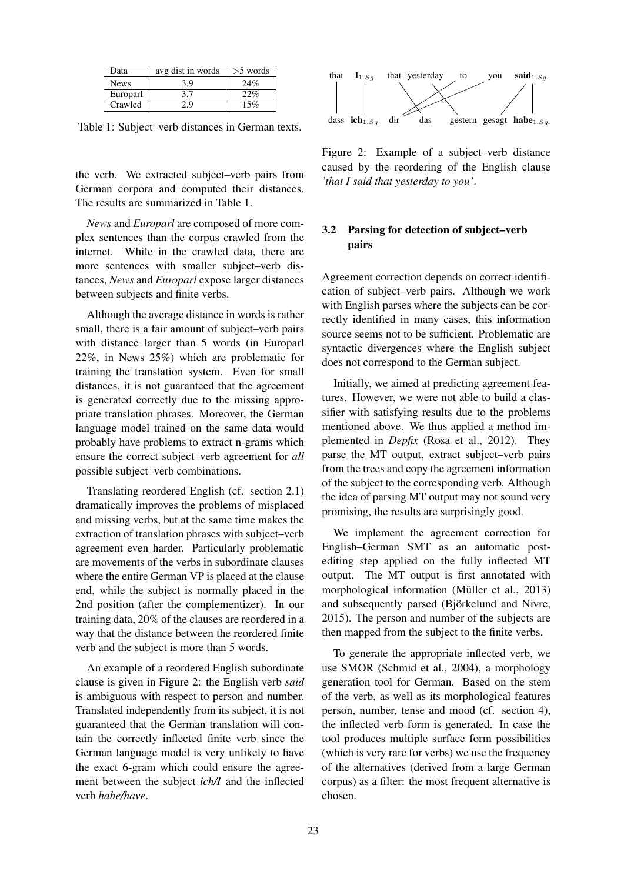| Data        | avg dist in words | $>5$ words |
|-------------|-------------------|------------|
| <b>News</b> | 3.9               | 24%        |
| Europarl    |                   | 22%        |
| Crawled     |                   | 15%        |

Table 1: Subject–verb distances in German texts.

the verb. We extracted subject–verb pairs from German corpora and computed their distances. The results are summarized in Table 1.

*News* and *Europarl* are composed of more complex sentences than the corpus crawled from the internet. While in the crawled data, there are more sentences with smaller subject–verb distances, *News* and *Europarl* expose larger distances between subjects and finite verbs.

Although the average distance in words is rather small, there is a fair amount of subject–verb pairs with distance larger than 5 words (in Europarl 22%, in News 25%) which are problematic for training the translation system. Even for small distances, it is not guaranteed that the agreement is generated correctly due to the missing appropriate translation phrases. Moreover, the German language model trained on the same data would probably have problems to extract n-grams which ensure the correct subject–verb agreement for *all* possible subject–verb combinations.

Translating reordered English (cf. section 2.1) dramatically improves the problems of misplaced and missing verbs, but at the same time makes the extraction of translation phrases with subject–verb agreement even harder. Particularly problematic are movements of the verbs in subordinate clauses where the entire German VP is placed at the clause end, while the subject is normally placed in the 2nd position (after the complementizer). In our training data, 20% of the clauses are reordered in a way that the distance between the reordered finite verb and the subject is more than 5 words.

An example of a reordered English subordinate clause is given in Figure 2: the English verb *said* is ambiguous with respect to person and number. Translated independently from its subject, it is not guaranteed that the German translation will contain the correctly inflected finite verb since the German language model is very unlikely to have the exact 6-gram which could ensure the agreement between the subject *ich/I* and the inflected verb *habe/have*.



Figure 2: Example of a subject–verb distance caused by the reordering of the English clause *'that I said that yesterday to you'*.

# 3.2 Parsing for detection of subject–verb pairs

Agreement correction depends on correct identification of subject–verb pairs. Although we work with English parses where the subjects can be correctly identified in many cases, this information source seems not to be sufficient. Problematic are syntactic divergences where the English subject does not correspond to the German subject.

Initially, we aimed at predicting agreement features. However, we were not able to build a classifier with satisfying results due to the problems mentioned above. We thus applied a method implemented in *Depfix* (Rosa et al., 2012). They parse the MT output, extract subject–verb pairs from the trees and copy the agreement information of the subject to the corresponding verb. Although the idea of parsing MT output may not sound very promising, the results are surprisingly good.

We implement the agreement correction for English–German SMT as an automatic postediting step applied on the fully inflected MT output. The MT output is first annotated with morphological information (Müller et al., 2013) and subsequently parsed (Björkelund and Nivre, 2015). The person and number of the subjects are then mapped from the subject to the finite verbs.

To generate the appropriate inflected verb, we use SMOR (Schmid et al., 2004), a morphology generation tool for German. Based on the stem of the verb, as well as its morphological features person, number, tense and mood (cf. section 4), the inflected verb form is generated. In case the tool produces multiple surface form possibilities (which is very rare for verbs) we use the frequency of the alternatives (derived from a large German corpus) as a filter: the most frequent alternative is chosen.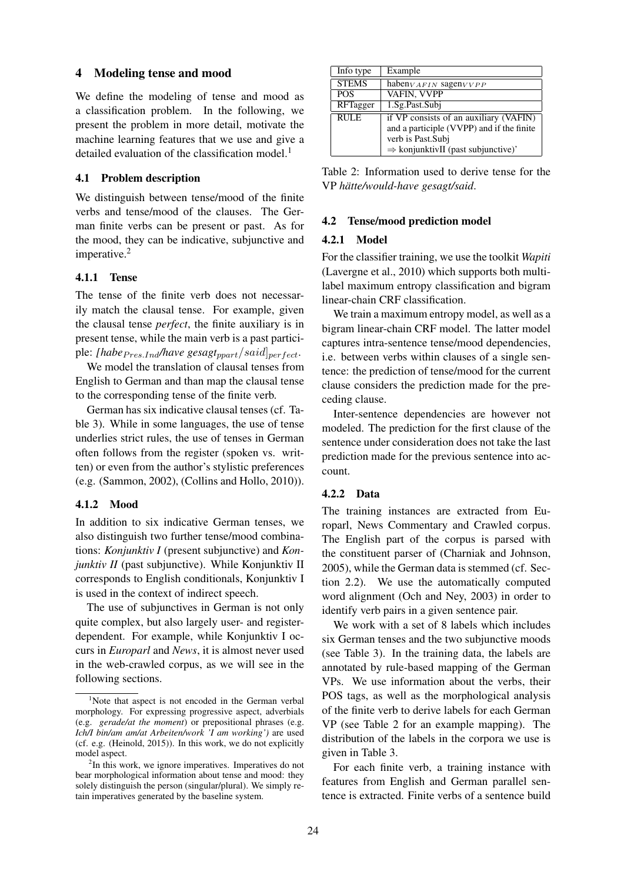#### 4 Modeling tense and mood

We define the modeling of tense and mood as a classification problem. In the following, we present the problem in more detail, motivate the machine learning features that we use and give a detailed evaluation of the classification model.<sup>1</sup>

#### 4.1 Problem description

We distinguish between tense/mood of the finite verbs and tense/mood of the clauses. The German finite verbs can be present or past. As for the mood, they can be indicative, subjunctive and imperative.<sup>2</sup>

#### 4.1.1 Tense

The tense of the finite verb does not necessarily match the clausal tense. For example, given the clausal tense *perfect*, the finite auxiliary is in present tense, while the main verb is a past participle: *[habe<sub>Pres.Ind</sub>/have gesagt<sub>ppart</sub>*/said]<sub>perfect</sub>.

We model the translation of clausal tenses from English to German and than map the clausal tense to the corresponding tense of the finite verb.

German has six indicative clausal tenses (cf. Table 3). While in some languages, the use of tense underlies strict rules, the use of tenses in German often follows from the register (spoken vs. written) or even from the author's stylistic preferences (e.g. (Sammon, 2002), (Collins and Hollo, 2010)).

#### 4.1.2 Mood

In addition to six indicative German tenses, we also distinguish two further tense/mood combinations: *Konjunktiv I* (present subjunctive) and *Konjunktiv II* (past subjunctive). While Konjunktiv II corresponds to English conditionals, Konjunktiv I is used in the context of indirect speech.

The use of subjunctives in German is not only quite complex, but also largely user- and registerdependent. For example, while Konjunktiv I occurs in *Europarl* and *News*, it is almost never used in the web-crawled corpus, as we will see in the following sections.

| Info type    | Example                                        |
|--------------|------------------------------------------------|
| <b>STEMS</b> | haben $_{VAFIN}$ sagen $_{VVPP}$               |
| <b>POS</b>   | VAFIN, VVPP                                    |
| RFTagger     | 1.Sg.Past.Subi                                 |
| <b>RULE</b>  | if VP consists of an auxiliary (VAFIN)         |
|              | and a participle (VVPP) and if the finite      |
|              | verb is Past.Subi                              |
|              | $\Rightarrow$ konjunktivII (past subjunctive)' |

Table 2: Information used to derive tense for the VP *hatte/would-have gesagt/said ¨* .

#### 4.2 Tense/mood prediction model

#### 4.2.1 Model

For the classifier training, we use the toolkit *Wapiti* (Lavergne et al., 2010) which supports both multilabel maximum entropy classification and bigram linear-chain CRF classification.

We train a maximum entropy model, as well as a bigram linear-chain CRF model. The latter model captures intra-sentence tense/mood dependencies, i.e. between verbs within clauses of a single sentence: the prediction of tense/mood for the current clause considers the prediction made for the preceding clause.

Inter-sentence dependencies are however not modeled. The prediction for the first clause of the sentence under consideration does not take the last prediction made for the previous sentence into account.

#### 4.2.2 Data

The training instances are extracted from Europarl, News Commentary and Crawled corpus. The English part of the corpus is parsed with the constituent parser of (Charniak and Johnson, 2005), while the German data is stemmed (cf. Section 2.2). We use the automatically computed word alignment (Och and Ney, 2003) in order to identify verb pairs in a given sentence pair.

We work with a set of 8 labels which includes six German tenses and the two subjunctive moods (see Table 3). In the training data, the labels are annotated by rule-based mapping of the German VPs. We use information about the verbs, their POS tags, as well as the morphological analysis of the finite verb to derive labels for each German VP (see Table 2 for an example mapping). The distribution of the labels in the corpora we use is given in Table 3.

For each finite verb, a training instance with features from English and German parallel sentence is extracted. Finite verbs of a sentence build

<sup>&</sup>lt;sup>1</sup>Note that aspect is not encoded in the German verbal morphology. For expressing progressive aspect, adverbials (e.g. *gerade/at the moment*) or prepositional phrases (e.g. *Ich/I bin/am am/at Arbeiten/work 'I am working')* are used (cf. e.g. (Heinold, 2015)). In this work, we do not explicitly model aspect.

<sup>&</sup>lt;sup>2</sup>In this work, we ignore imperatives. Imperatives do not bear morphological information about tense and mood: they solely distinguish the person (singular/plural). We simply retain imperatives generated by the baseline system.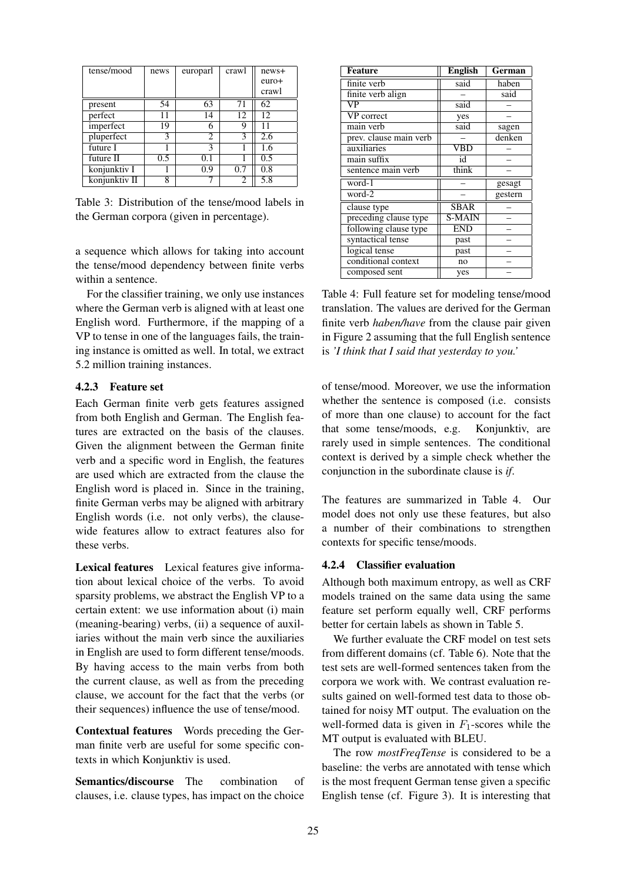| tense/mood    | news | europarl | crawl | news+ |
|---------------|------|----------|-------|-------|
|               |      |          |       | euro+ |
|               |      |          |       | crawl |
| present       | 54   | 63       | 71    | 62    |
| perfect       | 11   | 14       | 12    | 12    |
| imperfect     | 19   | 6        | 9     | 11    |
| pluperfect    | 3    | 2        | 3     | 2.6   |
| future I      |      | 3        |       | 1.6   |
| future II     | 0.5  | 0.1      |       | 0.5   |
| konjunktiv I  |      | 0.9      | 0.7   | 0.8   |
| konjunktiv II | 8    |          | 2     | 5.8   |

Table 3: Distribution of the tense/mood labels in the German corpora (given in percentage).

a sequence which allows for taking into account the tense/mood dependency between finite verbs within a sentence.

For the classifier training, we only use instances where the German verb is aligned with at least one English word. Furthermore, if the mapping of a VP to tense in one of the languages fails, the training instance is omitted as well. In total, we extract 5.2 million training instances.

# 4.2.3 Feature set

Each German finite verb gets features assigned from both English and German. The English features are extracted on the basis of the clauses. Given the alignment between the German finite verb and a specific word in English, the features are used which are extracted from the clause the English word is placed in. Since in the training, finite German verbs may be aligned with arbitrary English words (i.e. not only verbs), the clausewide features allow to extract features also for these verbs.

Lexical features Lexical features give information about lexical choice of the verbs. To avoid sparsity problems, we abstract the English VP to a certain extent: we use information about (i) main (meaning-bearing) verbs, (ii) a sequence of auxiliaries without the main verb since the auxiliaries in English are used to form different tense/moods. By having access to the main verbs from both the current clause, as well as from the preceding clause, we account for the fact that the verbs (or their sequences) influence the use of tense/mood.

Contextual features Words preceding the German finite verb are useful for some specific contexts in which Konjunktiv is used.

Semantics/discourse The combination of clauses, i.e. clause types, has impact on the choice

| <b>Feature</b>         | <b>English</b>          | German  |
|------------------------|-------------------------|---------|
| finite verb            | said                    | haben   |
| finite verb align      |                         | said    |
| VP                     | said                    |         |
| VP correct             | yes                     |         |
| main verb              | said                    | sagen   |
| prev. clause main verb |                         | denken  |
| auxiliaries            | $\overline{\text{VBD}}$ |         |
| main suffix            | id                      |         |
| sentence main verb     | think                   |         |
| word-1                 |                         | gesagt  |
| $word-2$               |                         | gestern |
| clause type            | SBAR                    |         |
| preceding clause type  | <b>S-MAIN</b>           |         |
| following clause type  | <b>END</b>              |         |
| syntactical tense      | past                    |         |
| logical tense          | past                    |         |
| conditional context    | no                      |         |
| composed sent          | yes                     |         |

Table 4: Full feature set for modeling tense/mood translation. The values are derived for the German finite verb *haben/have* from the clause pair given in Figure 2 assuming that the full English sentence is *'I think that I said that yesterday to you.'*

of tense/mood. Moreover, we use the information whether the sentence is composed (i.e. consists of more than one clause) to account for the fact that some tense/moods, e.g. Konjunktiv, are rarely used in simple sentences. The conditional context is derived by a simple check whether the conjunction in the subordinate clause is *if*.

The features are summarized in Table 4. Our model does not only use these features, but also a number of their combinations to strengthen contexts for specific tense/moods.

#### 4.2.4 Classifier evaluation

Although both maximum entropy, as well as CRF models trained on the same data using the same feature set perform equally well, CRF performs better for certain labels as shown in Table 5.

We further evaluate the CRF model on test sets from different domains (cf. Table 6). Note that the test sets are well-formed sentences taken from the corpora we work with. We contrast evaluation results gained on well-formed test data to those obtained for noisy MT output. The evaluation on the well-formed data is given in  $F_1$ -scores while the MT output is evaluated with BLEU.

The row *mostFreqTense* is considered to be a baseline: the verbs are annotated with tense which is the most frequent German tense given a specific English tense (cf. Figure 3). It is interesting that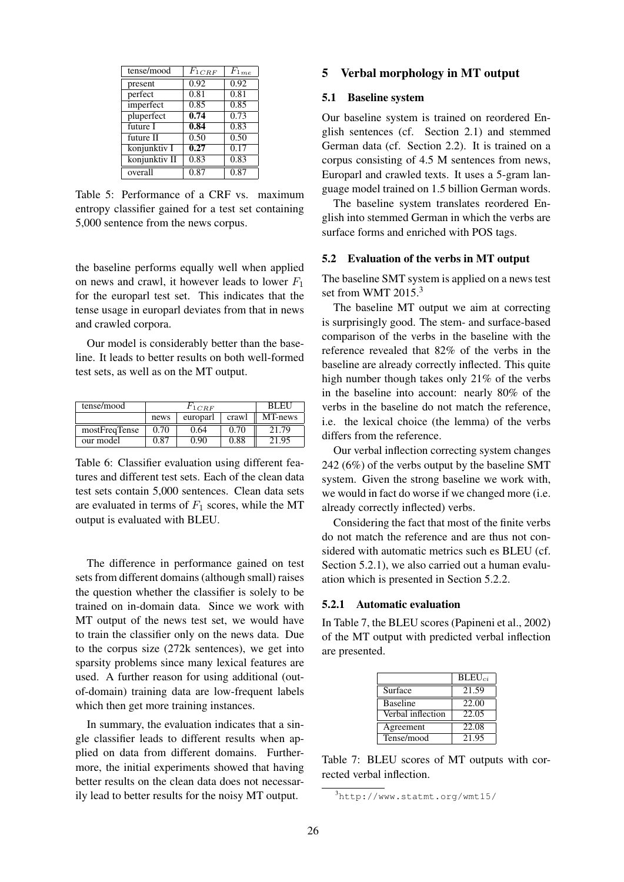| tense/mood    | $F_{1 \, CRF}$ | $F_{1me}$ |
|---------------|----------------|-----------|
| present       | 0.92           | 0.92      |
| perfect       | 0.81           | 0.81      |
| imperfect     | 0.85           | 0.85      |
| pluperfect    | 0.74           | 0.73      |
| future I      | 0.84           | 0.83      |
| future II     | 0.50           | 0.50      |
| konjunktiv I  | 0.27           | 0.17      |
| konjunktiv II | 0.83           | 0.83      |
| overall       | 0.87           | 0.87      |

Table 5: Performance of a CRF vs. maximum entropy classifier gained for a test set containing 5,000 sentence from the news corpus.

the baseline performs equally well when applied on news and crawl, it however leads to lower  $F_1$ for the europarl test set. This indicates that the tense usage in europarl deviates from that in news and crawled corpora.

Our model is considerably better than the baseline. It leads to better results on both well-formed test sets, as well as on the MT output.

| tense/mood    | $F_{1CRF}$ |          |       | <b>BLEL</b> |
|---------------|------------|----------|-------|-------------|
|               | news       | europarl | crawl | MT-news     |
| mostFreqTense | 0.70       | 0.64     | 0.70  | 21.79       |
| our model     | 0 87       | 0. QO    | 0.88  | 21.95       |

Table 6: Classifier evaluation using different features and different test sets. Each of the clean data test sets contain 5,000 sentences. Clean data sets are evaluated in terms of  $F_1$  scores, while the MT output is evaluated with BLEU.

The difference in performance gained on test sets from different domains (although small) raises the question whether the classifier is solely to be trained on in-domain data. Since we work with MT output of the news test set, we would have to train the classifier only on the news data. Due to the corpus size (272k sentences), we get into sparsity problems since many lexical features are used. A further reason for using additional (outof-domain) training data are low-frequent labels which then get more training instances.

In summary, the evaluation indicates that a single classifier leads to different results when applied on data from different domains. Furthermore, the initial experiments showed that having better results on the clean data does not necessarily lead to better results for the noisy MT output.

# 5 Verbal morphology in MT output

## 5.1 Baseline system

Our baseline system is trained on reordered English sentences (cf. Section 2.1) and stemmed German data (cf. Section 2.2). It is trained on a corpus consisting of 4.5 M sentences from news, Europarl and crawled texts. It uses a 5-gram language model trained on 1.5 billion German words.

The baseline system translates reordered English into stemmed German in which the verbs are surface forms and enriched with POS tags.

#### 5.2 Evaluation of the verbs in MT output

The baseline SMT system is applied on a news test set from WMT 2015.<sup>3</sup>

The baseline MT output we aim at correcting is surprisingly good. The stem- and surface-based comparison of the verbs in the baseline with the reference revealed that 82% of the verbs in the baseline are already correctly inflected. This quite high number though takes only 21% of the verbs in the baseline into account: nearly 80% of the verbs in the baseline do not match the reference, i.e. the lexical choice (the lemma) of the verbs differs from the reference.

Our verbal inflection correcting system changes 242 (6%) of the verbs output by the baseline SMT system. Given the strong baseline we work with, we would in fact do worse if we changed more (i.e. already correctly inflected) verbs.

Considering the fact that most of the finite verbs do not match the reference and are thus not considered with automatic metrics such es BLEU (cf. Section 5.2.1), we also carried out a human evaluation which is presented in Section 5.2.2.

#### 5.2.1 Automatic evaluation

In Table 7, the BLEU scores (Papineni et al., 2002) of the MT output with predicted verbal inflection are presented.

|                   | $BLEU_{ci}$        |
|-------------------|--------------------|
| Surface           | 21.59              |
| <b>Baseline</b>   | 22.00              |
| Verbal inflection | 22.05              |
| Agreement         | 22.08              |
| Tense/mood        | $21.\overline{95}$ |

Table 7: BLEU scores of MT outputs with corrected verbal inflection.

<sup>3</sup>http://www.statmt.org/wmt15/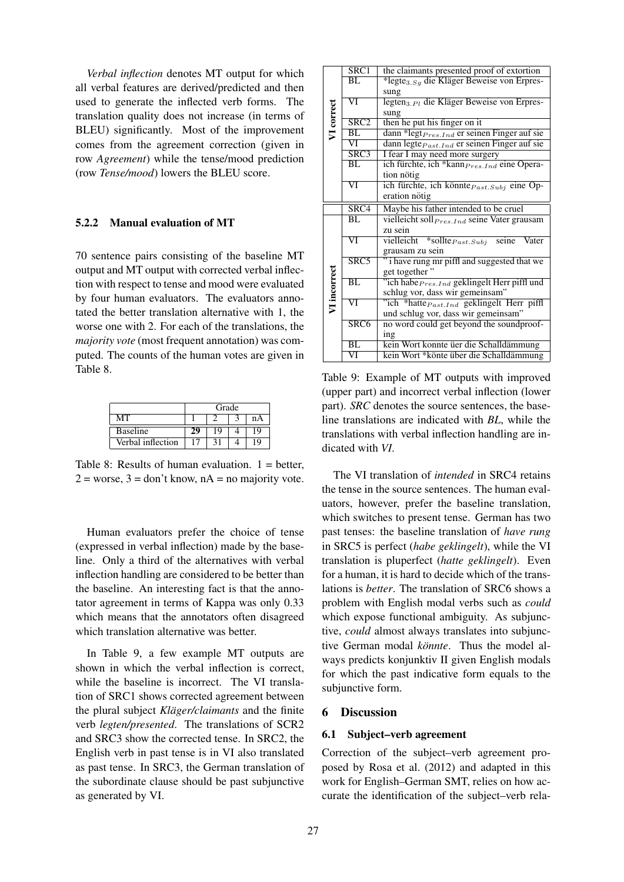*Verbal inflection* denotes MT output for which all verbal features are derived/predicted and then used to generate the inflected verb forms. The translation quality does not increase (in terms of BLEU) significantly. Most of the improvement comes from the agreement correction (given in row *Agreement*) while the tense/mood prediction (row *Tense/mood*) lowers the BLEU score.

### 5.2.2 Manual evaluation of MT

70 sentence pairs consisting of the baseline MT output and MT output with corrected verbal inflection with respect to tense and mood were evaluated by four human evaluators. The evaluators annotated the better translation alternative with 1, the worse one with 2. For each of the translations, the *majority vote* (most frequent annotation) was computed. The counts of the human votes are given in Table 8.

|                   | Grade |    |  |    |
|-------------------|-------|----|--|----|
| MТ                |       |    |  | nА |
| <b>Baseline</b>   | 29    | 19 |  | 19 |
| Verbal inflection |       |    |  | 19 |

Table 8: Results of human evaluation.  $1 =$  better,  $2 =$  worse,  $3 =$  don't know,  $nA =$  no majority vote.

Human evaluators prefer the choice of tense (expressed in verbal inflection) made by the baseline. Only a third of the alternatives with verbal inflection handling are considered to be better than the baseline. An interesting fact is that the annotator agreement in terms of Kappa was only 0.33 which means that the annotators often disagreed which translation alternative was better.

In Table 9, a few example MT outputs are shown in which the verbal inflection is correct, while the baseline is incorrect. The VI translation of SRC1 shows corrected agreement between the plural subject *Kläger/claimants* and the finite verb *legten/presented*. The translations of SCR2 and SRC3 show the corrected tense. In SRC2, the English verb in past tense is in VI also translated as past tense. In SRC3, the German translation of the subordinate clause should be past subjunctive as generated by VI.

|              | $\overline{\text{SRC}1}$ | the claimants presented proof of extortion                     |  |  |
|--------------|--------------------------|----------------------------------------------------------------|--|--|
|              | $\overline{BL}$          | *legte <sub>3.Sq</sub> die Kläger Beweise von Erpres-          |  |  |
|              |                          | sung                                                           |  |  |
|              | $\overline{\text{VI}}$   | legten <sub>3. Pl</sub> die Kläger Beweise von Erpres-         |  |  |
|              |                          | sung                                                           |  |  |
| VI correct   | SRC <sub>2</sub>         | then he put his finger on it                                   |  |  |
|              | BL                       | dann *legt <sub>Pres. Ind</sub> er seinen Finger auf sie       |  |  |
|              | $\overline{\text{VI}}$   | dann legte <i>Past.Ind</i> er seinen Finger auf sie            |  |  |
|              | SRC3                     | I fear I may need more surgery                                 |  |  |
|              | BL                       | ich fürchte, ich *kann <sub>Pres.Ind</sub> eine Opera-         |  |  |
|              |                          | tion nötig                                                     |  |  |
|              | VI                       | ich fürchte, ich könnte $P_{ast.Subj}$ eine Op-                |  |  |
|              |                          | eration nötig                                                  |  |  |
|              | SRC4                     | Maybe his father intended to be cruel                          |  |  |
|              | BL.                      | vielleicht soll <sub>Pres. Ind</sub> seine Vater grausam       |  |  |
|              |                          | zu sein                                                        |  |  |
|              | $\overline{\text{VI}}$   | vielleicht *sollte $\overline{P}_{ast.Subj}$<br>Vater<br>seine |  |  |
|              |                          | grausam zu sein                                                |  |  |
|              | SRC5                     | i have rung mr piffl and suggested that we                     |  |  |
| VI incorrect |                          | get together"                                                  |  |  |
|              | $\overline{\text{BL}}$   | "ich habe <i>Pres.Ind</i> geklingelt Herr piffl und            |  |  |
|              |                          | schlug vor, dass wir gemeinsam"                                |  |  |
|              | $\overline{\text{VI}}$   | "ich *hatte <sub>Past.Ind</sub> geklingelt Herr piffl          |  |  |
|              |                          | und schlug vor, dass wir gemeinsam"                            |  |  |
|              | SRC <sub>6</sub>         | no word could get beyond the soundproof-                       |  |  |
|              |                          | ing                                                            |  |  |
|              | BL                       | kein Wort konnte üer die Schalldämmung                         |  |  |
|              | $\overline{\text{VI}}$   | kein Wort *könte über die Schalldämmung                        |  |  |

Table 9: Example of MT outputs with improved (upper part) and incorrect verbal inflection (lower part). *SRC* denotes the source sentences, the baseline translations are indicated with *BL*, while the translations with verbal inflection handling are indicated with *VI*.

The VI translation of *intended* in SRC4 retains the tense in the source sentences. The human evaluators, however, prefer the baseline translation, which switches to present tense. German has two past tenses: the baseline translation of *have rung* in SRC5 is perfect (*habe geklingelt*), while the VI translation is pluperfect (*hatte geklingelt*). Even for a human, it is hard to decide which of the translations is *better*. The translation of SRC6 shows a problem with English modal verbs such as *could* which expose functional ambiguity. As subjunctive, *could* almost always translates into subjunctive German modal *könnte*. Thus the model always predicts konjunktiv II given English modals for which the past indicative form equals to the subjunctive form.

### 6 Discussion

#### 6.1 Subject–verb agreement

Correction of the subject–verb agreement proposed by Rosa et al. (2012) and adapted in this work for English–German SMT, relies on how accurate the identification of the subject–verb rela-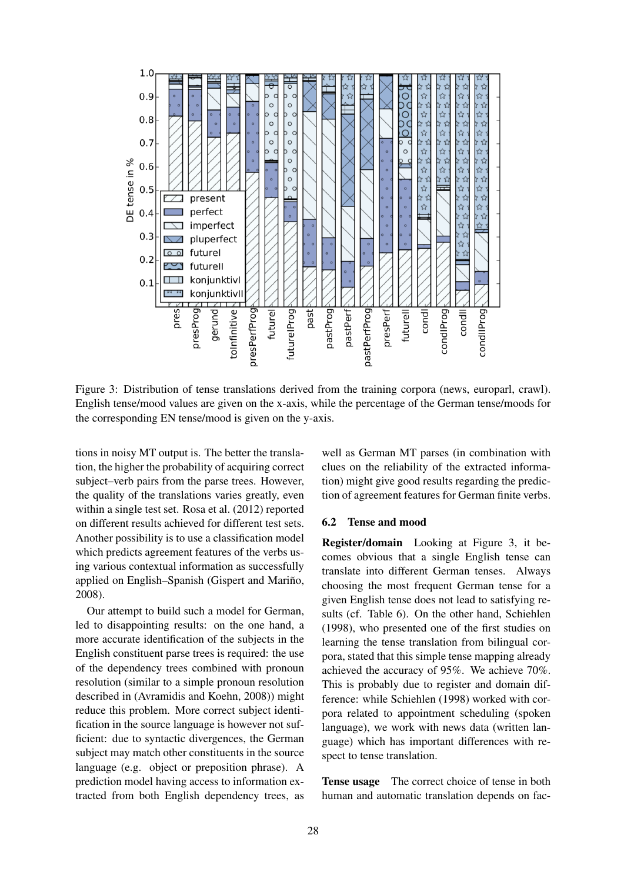

Figure 3: Distribution of tense translations derived from the training corpora (news, europarl, crawl). English tense/mood values are given on the x-axis, while the percentage of the German tense/moods for the corresponding EN tense/mood is given on the y-axis.

tions in noisy MT output is. The better the translation, the higher the probability of acquiring correct subject–verb pairs from the parse trees. However, the quality of the translations varies greatly, even within a single test set. Rosa et al. (2012) reported on different results achieved for different test sets. Another possibility is to use a classification model which predicts agreement features of the verbs using various contextual information as successfully applied on English–Spanish (Gispert and Mariño, 2008).

Our attempt to build such a model for German, led to disappointing results: on the one hand, a more accurate identification of the subjects in the English constituent parse trees is required: the use of the dependency trees combined with pronoun resolution (similar to a simple pronoun resolution described in (Avramidis and Koehn, 2008)) might reduce this problem. More correct subject identification in the source language is however not sufficient: due to syntactic divergences, the German subject may match other constituents in the source language (e.g. object or preposition phrase). A prediction model having access to information extracted from both English dependency trees, as

well as German MT parses (in combination with clues on the reliability of the extracted information) might give good results regarding the prediction of agreement features for German finite verbs.

#### 6.2 Tense and mood

Register/domain Looking at Figure 3, it becomes obvious that a single English tense can translate into different German tenses. Always choosing the most frequent German tense for a given English tense does not lead to satisfying results (cf. Table 6). On the other hand, Schiehlen (1998), who presented one of the first studies on learning the tense translation from bilingual corpora, stated that this simple tense mapping already achieved the accuracy of 95%. We achieve 70%. This is probably due to register and domain difference: while Schiehlen (1998) worked with corpora related to appointment scheduling (spoken language), we work with news data (written language) which has important differences with respect to tense translation.

Tense usage The correct choice of tense in both human and automatic translation depends on fac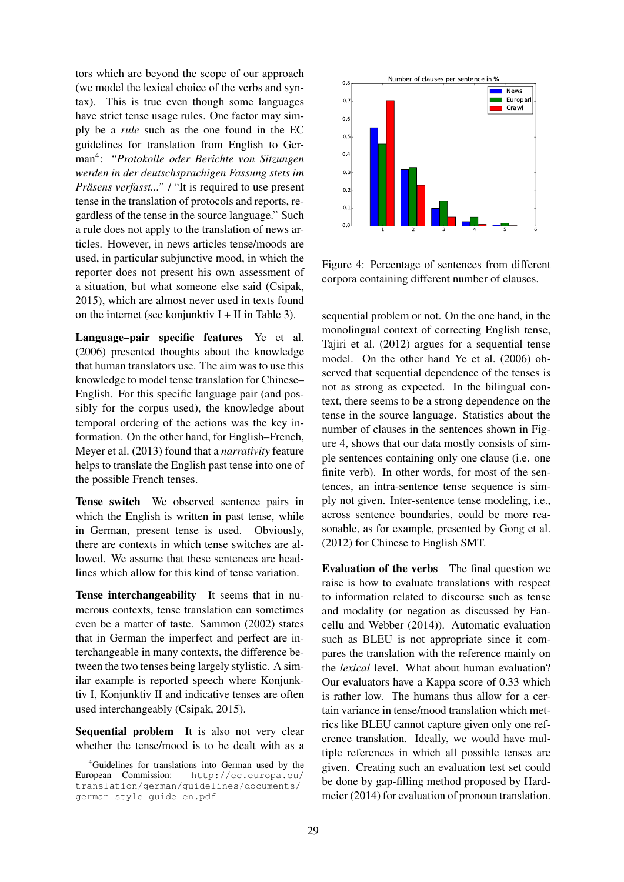tors which are beyond the scope of our approach (we model the lexical choice of the verbs and syntax). This is true even though some languages have strict tense usage rules. One factor may simply be a *rule* such as the one found in the EC guidelines for translation from English to German<sup>4</sup> : *"Protokolle oder Berichte von Sitzungen werden in der deutschsprachigen Fassung stets im Präsens verfasst..."* / "It is required to use present tense in the translation of protocols and reports, regardless of the tense in the source language." Such a rule does not apply to the translation of news articles. However, in news articles tense/moods are used, in particular subjunctive mood, in which the reporter does not present his own assessment of a situation, but what someone else said (Csipak, 2015), which are almost never used in texts found on the internet (see konjunktiv  $I + II$  in Table 3).

Language–pair specific features Ye et al. (2006) presented thoughts about the knowledge that human translators use. The aim was to use this knowledge to model tense translation for Chinese– English. For this specific language pair (and possibly for the corpus used), the knowledge about temporal ordering of the actions was the key information. On the other hand, for English–French, Meyer et al. (2013) found that a *narrativity* feature helps to translate the English past tense into one of the possible French tenses.

Tense switch We observed sentence pairs in which the English is written in past tense, while in German, present tense is used. Obviously, there are contexts in which tense switches are allowed. We assume that these sentences are headlines which allow for this kind of tense variation.

Tense interchangeability It seems that in numerous contexts, tense translation can sometimes even be a matter of taste. Sammon (2002) states that in German the imperfect and perfect are interchangeable in many contexts, the difference between the two tenses being largely stylistic. A similar example is reported speech where Konjunktiv I, Konjunktiv II and indicative tenses are often used interchangeably (Csipak, 2015).

Sequential problem It is also not very clear whether the tense/mood is to be dealt with as a



Figure 4: Percentage of sentences from different corpora containing different number of clauses.

sequential problem or not. On the one hand, in the monolingual context of correcting English tense, Tajiri et al. (2012) argues for a sequential tense model. On the other hand Ye et al. (2006) observed that sequential dependence of the tenses is not as strong as expected. In the bilingual context, there seems to be a strong dependence on the tense in the source language. Statistics about the number of clauses in the sentences shown in Figure 4, shows that our data mostly consists of simple sentences containing only one clause (i.e. one finite verb). In other words, for most of the sentences, an intra-sentence tense sequence is simply not given. Inter-sentence tense modeling, i.e., across sentence boundaries, could be more reasonable, as for example, presented by Gong et al. (2012) for Chinese to English SMT.

Evaluation of the verbs The final question we raise is how to evaluate translations with respect to information related to discourse such as tense and modality (or negation as discussed by Fancellu and Webber (2014)). Automatic evaluation such as BLEU is not appropriate since it compares the translation with the reference mainly on the *lexical* level. What about human evaluation? Our evaluators have a Kappa score of 0.33 which is rather low. The humans thus allow for a certain variance in tense/mood translation which metrics like BLEU cannot capture given only one reference translation. Ideally, we would have multiple references in which all possible tenses are given. Creating such an evaluation test set could be done by gap-filling method proposed by Hardmeier (2014) for evaluation of pronoun translation.

 ${}^{4}$ Guidelines for translations into German used by the European Commission: http://ec.europa.eu/ translation/german/guidelines/documents/ german\_style\_guide\_en.pdf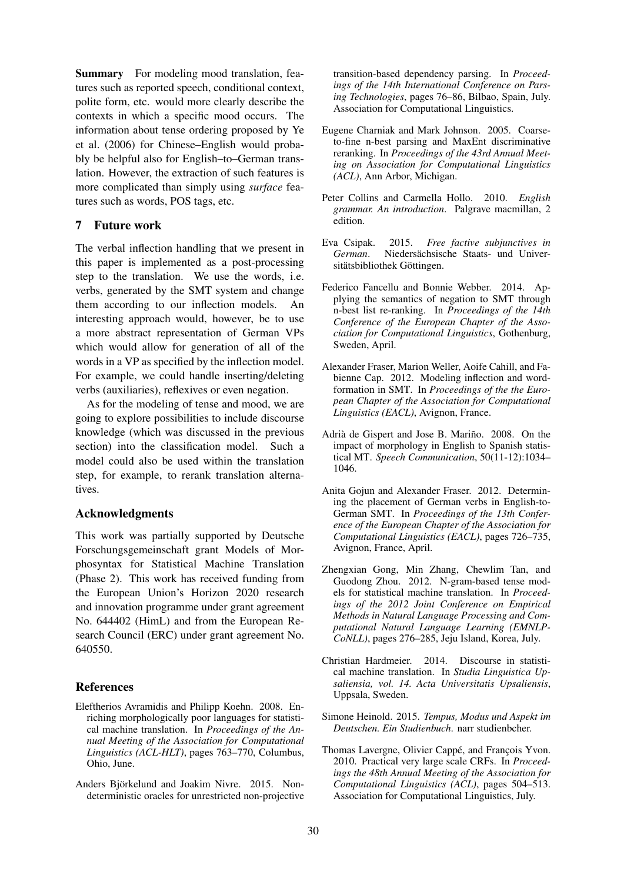Summary For modeling mood translation, features such as reported speech, conditional context, polite form, etc. would more clearly describe the contexts in which a specific mood occurs. The information about tense ordering proposed by Ye et al. (2006) for Chinese–English would probably be helpful also for English–to–German translation. However, the extraction of such features is more complicated than simply using *surface* features such as words, POS tags, etc.

# 7 Future work

The verbal inflection handling that we present in this paper is implemented as a post-processing step to the translation. We use the words, i.e. verbs, generated by the SMT system and change them according to our inflection models. An interesting approach would, however, be to use a more abstract representation of German VPs which would allow for generation of all of the words in a VP as specified by the inflection model. For example, we could handle inserting/deleting verbs (auxiliaries), reflexives or even negation.

As for the modeling of tense and mood, we are going to explore possibilities to include discourse knowledge (which was discussed in the previous section) into the classification model. Such a model could also be used within the translation step, for example, to rerank translation alternatives.

# Acknowledgments

This work was partially supported by Deutsche Forschungsgemeinschaft grant Models of Morphosyntax for Statistical Machine Translation (Phase 2). This work has received funding from the European Union's Horizon 2020 research and innovation programme under grant agreement No. 644402 (HimL) and from the European Research Council (ERC) under grant agreement No. 640550.

# References

- Eleftherios Avramidis and Philipp Koehn. 2008. Enriching morphologically poor languages for statistical machine translation. In *Proceedings of the Annual Meeting of the Association for Computational Linguistics (ACL-HLT)*, pages 763–770, Columbus, Ohio, June.
- Anders Björkelund and Joakim Nivre. 2015. Nondeterministic oracles for unrestricted non-projective

transition-based dependency parsing. In *Proceedings of the 14th International Conference on Parsing Technologies*, pages 76–86, Bilbao, Spain, July. Association for Computational Linguistics.

- Eugene Charniak and Mark Johnson. 2005. Coarseto-fine n-best parsing and MaxEnt discriminative reranking. In *Proceedings of the 43rd Annual Meeting on Association for Computational Linguistics (ACL)*, Ann Arbor, Michigan.
- Peter Collins and Carmella Hollo. 2010. *English grammar. An introduction*. Palgrave macmillan, 2 edition.
- Eva Csipak. 2015. *Free factive subjunctives in* German. Niedersächsische Staats- und Universitätsbibliothek Göttingen.
- Federico Fancellu and Bonnie Webber. 2014. Applying the semantics of negation to SMT through n-best list re-ranking. In *Proceedings of the 14th Conference of the European Chapter of the Association for Computational Linguistics*, Gothenburg, Sweden, April.
- Alexander Fraser, Marion Weller, Aoife Cahill, and Fabienne Cap. 2012. Modeling inflection and wordformation in SMT. In *Proceedings of the the European Chapter of the Association for Computational Linguistics (EACL)*, Avignon, France.
- Adrià de Gispert and Jose B. Mariño. 2008. On the impact of morphology in English to Spanish statistical MT. *Speech Communication*, 50(11-12):1034– 1046.
- Anita Gojun and Alexander Fraser. 2012. Determining the placement of German verbs in English-to-German SMT. In *Proceedings of the 13th Conference of the European Chapter of the Association for Computational Linguistics (EACL)*, pages 726–735, Avignon, France, April.
- Zhengxian Gong, Min Zhang, Chewlim Tan, and Guodong Zhou. 2012. N-gram-based tense models for statistical machine translation. In *Proceedings of the 2012 Joint Conference on Empirical Methods in Natural Language Processing and Computational Natural Language Learning (EMNLP-CoNLL)*, pages 276–285, Jeju Island, Korea, July.
- Christian Hardmeier. 2014. Discourse in statistical machine translation. In *Studia Linguistica Upsaliensia, vol. 14. Acta Universitatis Upsaliensis*, Uppsala, Sweden.
- Simone Heinold. 2015. *Tempus, Modus und Aspekt im Deutschen. Ein Studienbuch*. narr studienbcher.
- Thomas Lavergne, Olivier Cappé, and François Yvon. 2010. Practical very large scale CRFs. In *Proceedings the 48th Annual Meeting of the Association for Computational Linguistics (ACL)*, pages 504–513. Association for Computational Linguistics, July.